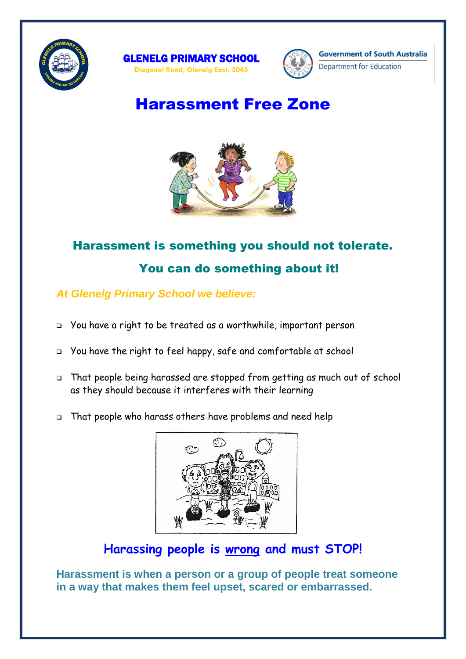





Department for Education

## Harassment Free Zone



# Harassment is something you should not tolerate. You can do something about it!

### *At Glenelg Primary School we believe:*

- You have a right to be treated as a worthwhile, important person
- You have the right to feel happy, safe and comfortable at school
- That people being harassed are stopped from getting as much out of school as they should because it interferes with their learning
- That people who harass others have problems and need help



## **Harassing people is wrong and must STOP!**

**Harassment is when a person or a group of people treat someone in a way that makes them feel upset, scared or embarrassed.**